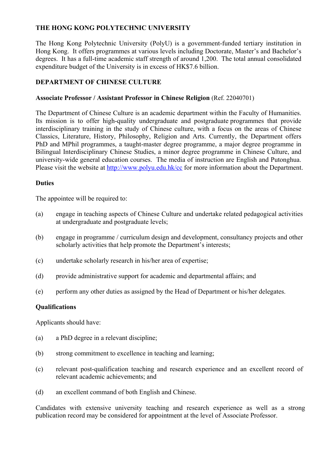## **THE HONG KONG POLYTECHNIC UNIVERSITY**

The Hong Kong Polytechnic University (PolyU) is a government-funded tertiary institution in Hong Kong. It offers programmes at various levels including Doctorate, Master's and Bachelor's degrees. It has a full-time academic staff strength of around 1,200. The total annual consolidated expenditure budget of the University is in excess of HK\$7.6 billion.

## **DEPARTMENT OF CHINESE CULTURE**

#### **Associate Professor / Assistant Professor in Chinese Religion** (Ref. 22040701)

The Department of Chinese Culture is an academic department within the Faculty of Humanities. Its mission is to offer high-quality undergraduate and postgraduate programmes that provide interdisciplinary training in the study of Chinese culture, with a focus on the areas of Chinese Classics, Literature, History, Philosophy, Religion and Arts. Currently, the Department offers PhD and MPhil programmes, a taught-master degree programme, a major degree programme in Bilingual Interdisciplinary Chinese Studies, a minor degree programme in Chinese Culture, and university-wide general education courses. The media of instruction are English and Putonghua. Please visit the website at http://www.polyu.edu.hk/cc for more information about the Department.

## **Duties**

The appointee will be required to:

- (a) engage in teaching aspects of Chinese Culture and undertake related pedagogical activities at undergraduate and postgraduate levels;
- (b) engage in programme / curriculum design and development, consultancy projects and other scholarly activities that help promote the Department's interests;
- (c) undertake scholarly research in his/her area of expertise;
- (d) provide administrative support for academic and departmental affairs; and
- (e) perform any other duties as assigned by the Head of Department or his/her delegates.

#### **Qualifications**

Applicants should have:

- (a) a PhD degree in a relevant discipline;
- (b) strong commitment to excellence in teaching and learning;
- (c) relevant post-qualification teaching and research experience and an excellent record of relevant academic achievements; and
- (d) an excellent command of both English and Chinese.

Candidates with extensive university teaching and research experience as well as a strong publication record may be considered for appointment at the level of Associate Professor.